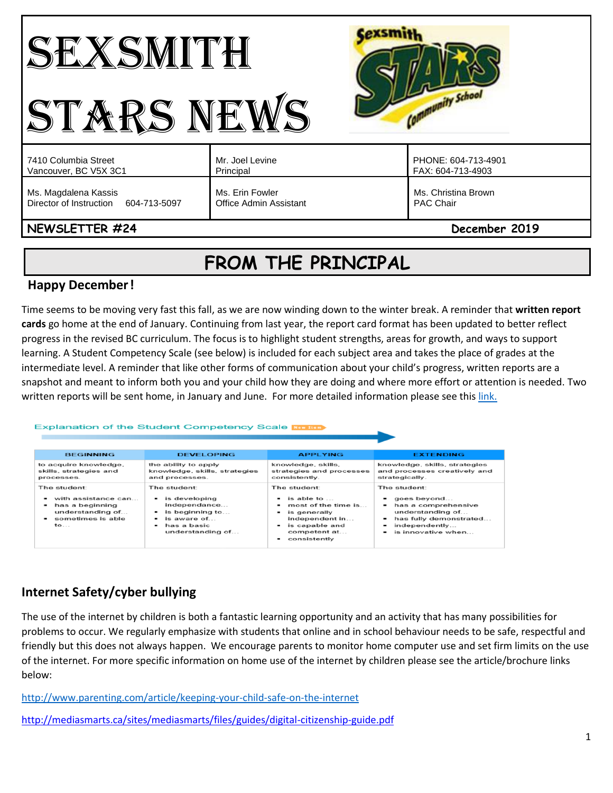#### **Cexsmith** SEXSMITH Community School STARS NEWS Mr. Joel Levine PHONE: 604-713-4901 7410 Columbia Street Vancouver, BC V5X 3C1 Principal FAX: 604-713-4903 Ms. Magdalena Kassis Ms. Erin Fowler Ms. Christina Brown Director of Instruction 604-713-5097 Office Admin Assistant PAC Chair **NEWSLETTER #24 December 2019**

# **FROM THE PRINCIPAL**

# **Happy December!**

Time seems to be moving very fast this fall, as we are now winding down to the winter break. A reminder that **written report cards** go home at the end of January. Continuing from last year, the report card format has been updated to better reflect progress in the revised BC curriculum. The focus is to highlight student strengths, areas for growth, and ways to support learning. A Student Competency Scale (see below) is included for each subject area and takes the place of grades at the intermediate level. A reminder that like other forms of communication about your child's progress, written reports are a snapshot and meant to inform both you and your child how they are doing and where more effort or attention is needed. Two written reports will be sent home, in January and June. For more detailed information please see this [link.](https://www.vsb.bc.ca/site/csl/k7/Pages/Parent-Information.aspx)

#### Explanation of the Student Competency Scale **Kowling**

| <b>BEGINNING</b>                                                                                                    | <b>DEVELOPING</b>                                                                                                                                             | <b>APPLYING</b>                                                                                                                                 | <b>EXTENDING</b>                                                                                                                        |
|---------------------------------------------------------------------------------------------------------------------|---------------------------------------------------------------------------------------------------------------------------------------------------------------|-------------------------------------------------------------------------------------------------------------------------------------------------|-----------------------------------------------------------------------------------------------------------------------------------------|
| to acquire knowledge,<br>skills, strategies and<br>processes.                                                       | the ability to apply<br>knowledge, skills, strategies<br>and processes.                                                                                       | knowledge, skills,<br>strategies and processes<br>consistently.                                                                                 | knowledge, skills, strategies<br>and processes creatively and<br>strategically.                                                         |
| The student:<br>with assistance can<br>has a beginning<br>۰<br>understanding of<br>sometimes is able<br>$to \ldots$ | The student:<br>$\blacksquare$ is developing<br>independance<br>is beginning to<br>is aware of<br>$\overline{\phantom{a}}$<br>has a basic<br>understanding of | The student:<br>is able to<br>-<br>most of the time is<br>is generally<br>-<br>independent in<br>is capable and<br>competent at<br>consistently | The student:<br>goes beyond<br>has a comprehensive<br>understanding of<br>has fully demonstrated<br>independently<br>is innovative when |

# **Internet Safety/cyber bullying**

The use of the internet by children is both a fantastic learning opportunity and an activity that has many possibilities for problems to occur. We regularly emphasize with students that online and in school behaviour needs to be safe, respectful and friendly but this does not always happen. We encourage parents to monitor home computer use and set firm limits on the use of the internet. For more specific information on home use of the internet by children please see the article/brochure links below:

<http://www.parenting.com/article/keeping-your-child-safe-on-the-internet>

<http://mediasmarts.ca/sites/mediasmarts/files/guides/digital-citizenship-guide.pdf>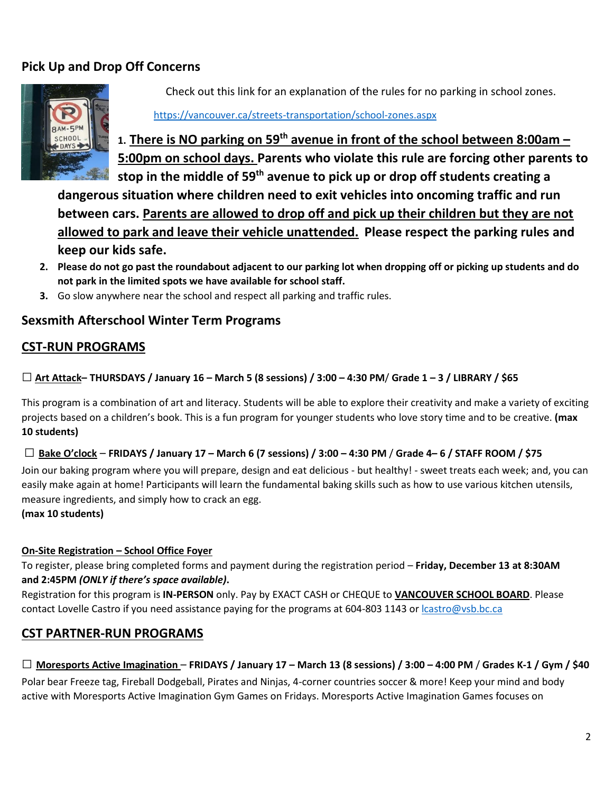# **Pick Up and Drop Off Concerns**



Check out this link for an explanation of the rules for no parking in school zones.

#### <https://vancouver.ca/streets-transportation/school-zones.aspx>

**1. There is NO parking on 59th avenue in front of the school between 8:00am – 5:00pm on school days. Parents who violate this rule are forcing other parents to stop in the middle of 59th avenue to pick up or drop off students creating a** 

**dangerous situation where children need to exit vehicles into oncoming traffic and run between cars. Parents are allowed to drop off and pick up their children but they are not allowed to park and leave their vehicle unattended. Please respect the parking rules and keep our kids safe.**

- **2. Please do not go past the roundabout adjacent to our parking lot when dropping off or picking up students and do not park in the limited spots we have available for school staff.**
- **3.** Go slow anywhere near the school and respect all parking and traffic rules.

# **Sexsmith Afterschool Winter Term Programs**

# **CST-RUN PROGRAMS**

### **□ Art Attack– THURSDAYS / January 16 – March <sup>5</sup> (8 sessions) / 3:00 – 4:30 PM**/ **Grade 1 – 3 / LIBRARY / \$65**

This program is a combination of art and literacy. Students will be able to explore their creativity and make a variety of exciting projects based on a children's book. This is a fun program for younger students who love story time and to be creative. **(max 10 students)**

#### **□ Bake O'clock** – **FRIDAYS / January 17 – March 6 (7 sessions) / 3:00 – 4:30 PM** / **Grade 4– 6 / STAFF ROOM / \$75**

Join our baking program where you will prepare, design and eat delicious - but healthy! - sweet treats each week; and, you can easily make again at home! Participants will learn the fundamental baking skills such as how to use various kitchen utensils, measure ingredients, and simply how to crack an egg.

#### **(max 10 students)**

#### **On-Site Registration – School Office Foyer**

To register, please bring completed forms and payment during the registration period – **Friday, December 13 at 8:30AM and 2:45PM** *(ONLY if there's space available)***.**

Registration for this program is **IN-PERSON** only. Pay by EXACT CASH or CHEQUE to **VANCOUVER SCHOOL BOARD**. Please contact Lovelle Castro if you need assistance paying for the programs at 604-803 1143 or [lcastro@vsb.bc.ca](mailto:lcastro@vsb.bc.ca)

# **CST PARTNER-RUN PROGRAMS**

# **□ Moresports Active Imagination** – **FRIDAYS / January 17 – March 13 (8 sessions) / 3:00 – 4:00 PM** / **Grades K-1 / Gym / \$40**

Polar bear Freeze tag, Fireball Dodgeball, Pirates and Ninjas, 4-corner countries soccer & more! Keep your mind and body active with Moresports Active Imagination Gym Games on Fridays. Moresports Active Imagination Games focuses on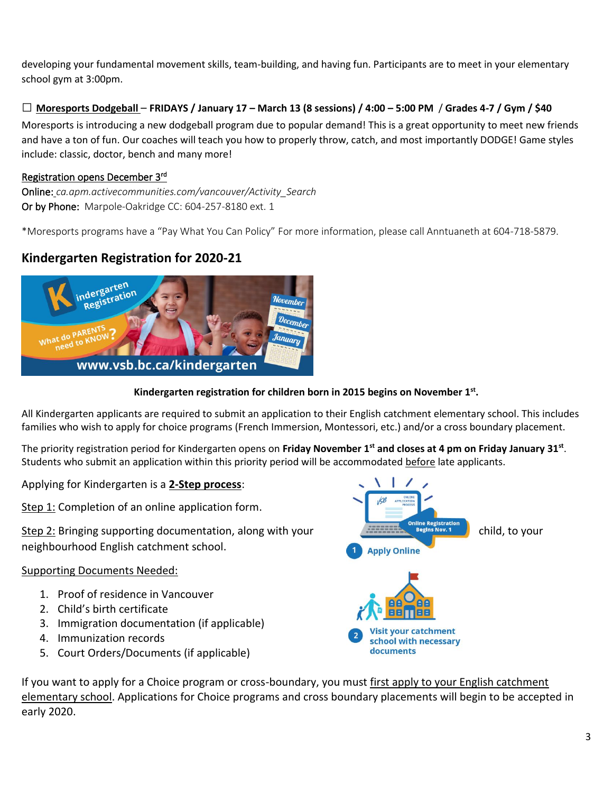developing your fundamental movement skills, team-building, and having fun. Participants are to meet in your elementary school gym at 3:00pm.

### **□ Moresports Dodgeball** – **FRIDAYS / January 17 – March 13 (8 sessions) / 4:00 – 5:00 PM** / **Grades 4-7 / Gym / \$40**

Moresports is introducing a new dodgeball program due to popular demand! This is a great opportunity to meet new friends and have a ton of fun. Our coaches will teach you how to properly throw, catch, and most importantly DODGE! Game styles include: classic, doctor, bench and many more!

#### Registration opens December 3<sup>rd</sup>

Online: *ca.apm.activecommunities.com/vancouver/Activity\_Search* Or by Phone: Marpole-Oakridge CC: 604-257-8180 ext. 1

\*Moresports programs have a "Pay What You Can Policy" For more information, please call Anntuaneth at 604-718-5879.

# **Kindergarten Registration for 2020-21**



#### **Kindergarten registration for children born in 2015 begins on November 1st .**

All Kindergarten applicants are required to submit an application to their English catchment elementary school. This includes families who wish to apply for choice programs (French Immersion, Montessori, etc.) and/or a cross boundary placement.

The priority registration period for Kindergarten opens on **Friday November 1st and closes at 4 pm on Friday January 31st** . Students who submit an application within this priority period will be accommodated before late applicants.

Applying for Kindergarten is a **2-Step process**:

Step 1: Completion of an online application form.

neighbourhood English catchment school.

#### Supporting Documents Needed:

- 1. Proof of residence in Vancouver
- 2. Child's birth certificate
- 3. Immigration documentation (if applicable)
- 4. Immunization records
- 5. Court Orders/Documents (if applicable)



If you want to apply for a Choice program or cross-boundary, you must first apply to your English catchment elementary school. Applications for Choice programs and cross boundary placements will begin to be accepted in early 2020.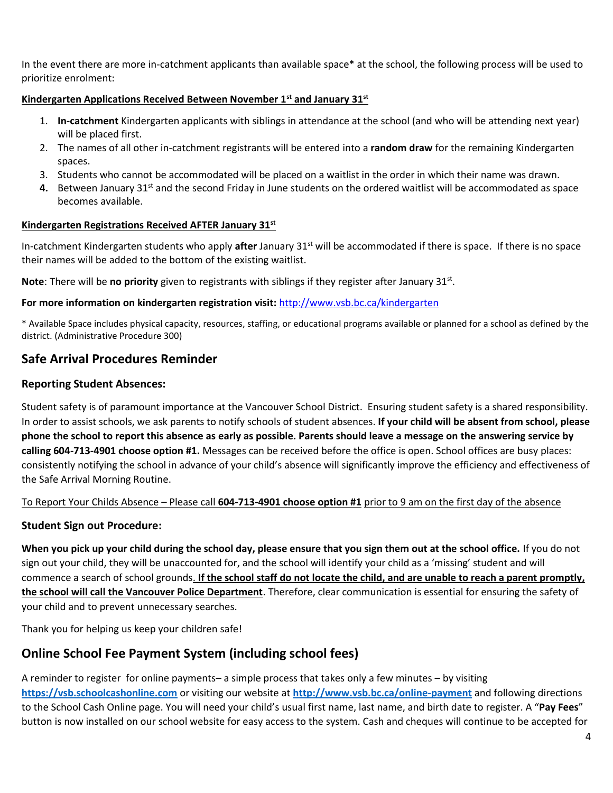In the event there are more in-catchment applicants than available space\* at the school, the following process will be used to prioritize enrolment:

#### **Kindergarten Applications Received Between November 1st and January 31st**

- 1. **In-catchment** Kindergarten applicants with siblings in attendance at the school (and who will be attending next year) will be placed first.
- 2. The names of all other in-catchment registrants will be entered into a **random draw** for the remaining Kindergarten spaces.
- 3. Students who cannot be accommodated will be placed on a waitlist in the order in which their name was drawn.
- 4. Between January 31<sup>st</sup> and the second Friday in June students on the ordered waitlist will be accommodated as space becomes available.

#### **Kindergarten Registrations Received AFTER January 31st**

In-catchment Kindergarten students who apply **after** January 31st will be accommodated if there is space. If there is no space their names will be added to the bottom of the existing waitlist.

Note: There will be no priority given to registrants with siblings if they register after January 31st.

#### **For more information on kindergarten registration visit:** <http://www.vsb.bc.ca/kindergarten>

\* Available Space includes physical capacity, resources, staffing, or educational programs available or planned for a school as defined by the district. (Administrative Procedure 300)

### **Safe Arrival Procedures Reminder**

#### **Reporting Student Absences:**

Student safety is of paramount importance at the Vancouver School District. Ensuring student safety is a shared responsibility. In order to assist schools, we ask parents to notify schools of student absences. **If your child will be absent from school, please phone the school to report this absence as early as possible. Parents should leave a message on the answering service by calling 604-713-4901 choose option #1.** Messages can be received before the office is open. School offices are busy places: consistently notifying the school in advance of your child's absence will significantly improve the efficiency and effectiveness of the Safe Arrival Morning Routine.

#### To Report Your Childs Absence – Please call **604-713-4901 choose option #1** prior to 9 am on the first day of the absence

#### **Student Sign out Procedure:**

**When you pick up your child during the school day, please ensure that you sign them out at the school office.** If you do not sign out your child, they will be unaccounted for, and the school will identify your child as a 'missing' student and will commence a search of school grounds. **If the school staff do not locate the child, and are unable to reach a parent promptly, the school will call the Vancouver Police Department**. Therefore, clear communication is essential for ensuring the safety of your child and to prevent unnecessary searches.

Thank you for helping us keep your children safe!

# **Online School Fee Payment System (including school fees)**

A reminder to register for online payments– a simple process that takes only a few minutes – by visiting **[https://vsb.schoolcashonline.com](https://vsb.schoolcashonline.com/)** or visiting our website at **<http://www.vsb.bc.ca/online-payment>** and following directions to the School Cash Online page. You will need your child's usual first name, last name, and birth date to register. A "**Pay Fees**" button is now installed on our school website for easy access to the system. Cash and cheques will continue to be accepted for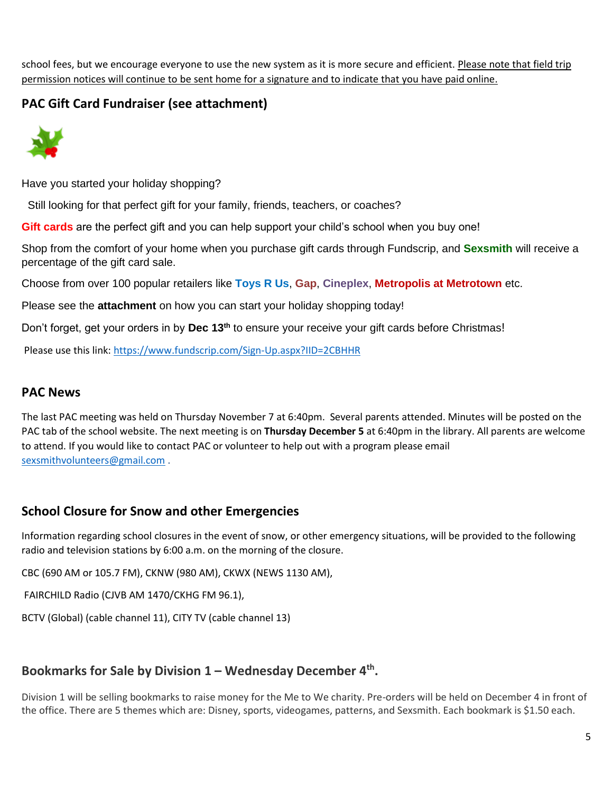school fees, but we encourage everyone to use the new system as it is more secure and efficient. Please note that field trip permission notices will continue to be sent home for a signature and to indicate that you have paid online.

# **PAC Gift Card Fundraiser (see attachment)**



Have you started your holiday shopping?

Still looking for that perfect gift for your family, friends, teachers, or coaches?

**Gift cards** are the perfect gift and you can help support your child's school when you buy one!

Shop from the comfort of your home when you purchase gift cards through Fundscrip, and **Sexsmith** will receive a percentage of the gift card sale.

Choose from over 100 popular retailers like **Toys R Us**, **Gap**, **Cineplex**, **Metropolis at Metrotown** etc.

Please see the **attachment** on how you can start your holiday shopping today!

Don't forget, get your orders in by **Dec 13th** to ensure your receive your gift cards before Christmas!

Please use this link:<https://www.fundscrip.com/Sign-Up.aspx?IID=2CBHHR>

### **PAC News**

The last PAC meeting was held on Thursday November 7 at 6:40pm. Several parents attended. Minutes will be posted on the PAC tab of the school website. The next meeting is on **Thursday December 5** at 6:40pm in the library. All parents are welcome to attend. If you would like to contact PAC or volunteer to help out with a program please email [sexsmithvolunteers@gmail.com](mailto:sexsmithvolunteers@gmail.com) .

# **School Closure for Snow and other Emergencies**

Information regarding school closures in the event of snow, or other emergency situations, will be provided to the following radio and television stations by 6:00 a.m. on the morning of the closure.

CBC (690 AM or 105.7 FM), CKNW (980 AM), CKWX (NEWS 1130 AM),

FAIRCHILD Radio (CJVB AM 1470/CKHG FM 96.1),

BCTV (Global) (cable channel 11), CITY TV (cable channel 13)

# **Bookmarks for Sale by Division 1 – Wednesday December 4th .**

Division 1 will be selling bookmarks to raise money for the Me to We charity. Pre-orders will be held on December 4 in front of the office. There are 5 themes which are: Disney, sports, videogames, patterns, and Sexsmith. Each bookmark is \$1.50 each.